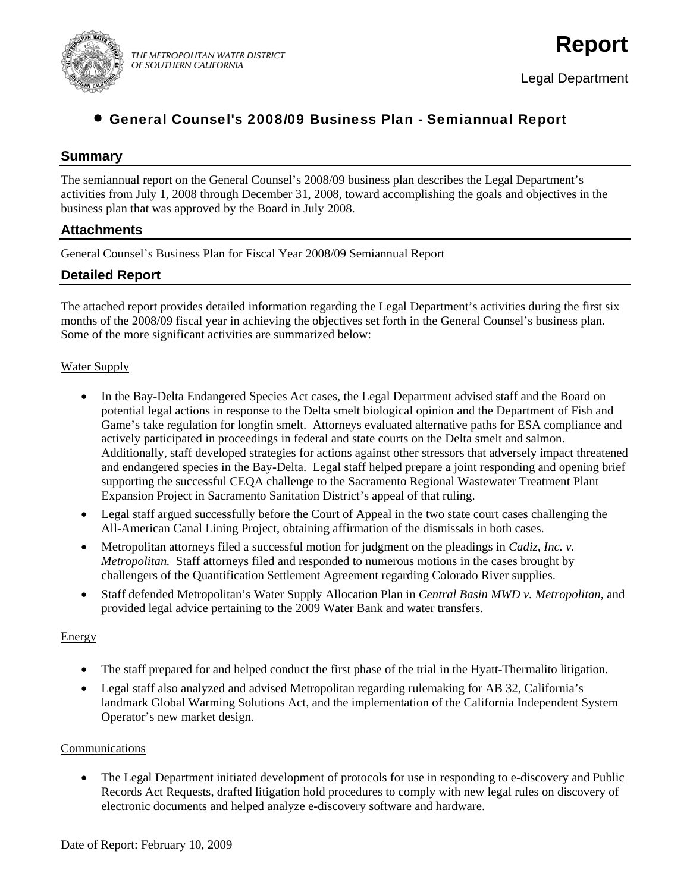

## • General Counsel's 2008/09 Business Plan - Semiannual Report

## **Summary**

The semiannual report on the General Counsel's 2008/09 business plan describes the Legal Department's activities from July 1, 2008 through December 31, 2008, toward accomplishing the goals and objectives in the business plan that was approved by the Board in July 2008.

## **Attachments**

General Counsel's Business Plan for Fiscal Year 2008/09 Semiannual Report

## **Detailed Report**

The attached report provides detailed information regarding the Legal Department's activities during the first six months of the 2008/09 fiscal year in achieving the objectives set forth in the General Counsel's business plan. Some of the more significant activities are summarized below:

## Water Supply

- In the Bay-Delta Endangered Species Act cases, the Legal Department advised staff and the Board on potential legal actions in response to the Delta smelt biological opinion and the Department of Fish and Game's take regulation for longfin smelt. Attorneys evaluated alternative paths for ESA compliance and actively participated in proceedings in federal and state courts on the Delta smelt and salmon. Additionally, staff developed strategies for actions against other stressors that adversely impact threatened and endangered species in the Bay-Delta. Legal staff helped prepare a joint responding and opening brief supporting the successful CEQA challenge to the Sacramento Regional Wastewater Treatment Plant Expansion Project in Sacramento Sanitation District's appeal of that ruling.
- Legal staff argued successfully before the Court of Appeal in the two state court cases challenging the All-American Canal Lining Project, obtaining affirmation of the dismissals in both cases.
- Metropolitan attorneys filed a successful motion for judgment on the pleadings in *Cadiz, Inc. v. Metropolitan.* Staff attorneys filed and responded to numerous motions in the cases brought by challengers of the Quantification Settlement Agreement regarding Colorado River supplies.
- Staff defended Metropolitan's Water Supply Allocation Plan in *Central Basin MWD v. Metropolitan*, and provided legal advice pertaining to the 2009 Water Bank and water transfers.

## **Energy**

- The staff prepared for and helped conduct the first phase of the trial in the Hyatt-Thermalito litigation.
- Legal staff also analyzed and advised Metropolitan regarding rulemaking for AB 32, California's landmark Global Warming Solutions Act, and the implementation of the California Independent System Operator's new market design.

## Communications

• The Legal Department initiated development of protocols for use in responding to e-discovery and Public Records Act Requests, drafted litigation hold procedures to comply with new legal rules on discovery of electronic documents and helped analyze e-discovery software and hardware.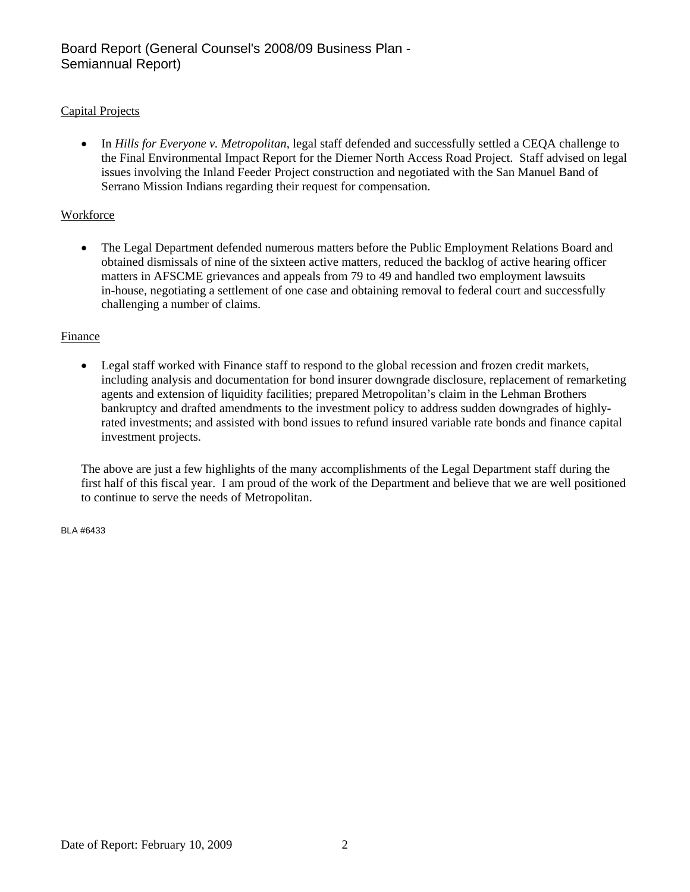## Capital Projects

• In *Hills for Everyone v. Metropolitan*, legal staff defended and successfully settled a CEQA challenge to the Final Environmental Impact Report for the Diemer North Access Road Project. Staff advised on legal issues involving the Inland Feeder Project construction and negotiated with the San Manuel Band of Serrano Mission Indians regarding their request for compensation.

## Workforce

• The Legal Department defended numerous matters before the Public Employment Relations Board and obtained dismissals of nine of the sixteen active matters, reduced the backlog of active hearing officer matters in AFSCME grievances and appeals from 79 to 49 and handled two employment lawsuits in-house, negotiating a settlement of one case and obtaining removal to federal court and successfully challenging a number of claims.

## Finance

Legal staff worked with Finance staff to respond to the global recession and frozen credit markets, including analysis and documentation for bond insurer downgrade disclosure, replacement of remarketing agents and extension of liquidity facilities; prepared Metropolitan's claim in the Lehman Brothers bankruptcy and drafted amendments to the investment policy to address sudden downgrades of highlyrated investments; and assisted with bond issues to refund insured variable rate bonds and finance capital investment projects.

The above are just a few highlights of the many accomplishments of the Legal Department staff during the first half of this fiscal year. I am proud of the work of the Department and believe that we are well positioned to continue to serve the needs of Metropolitan.

BLA #6433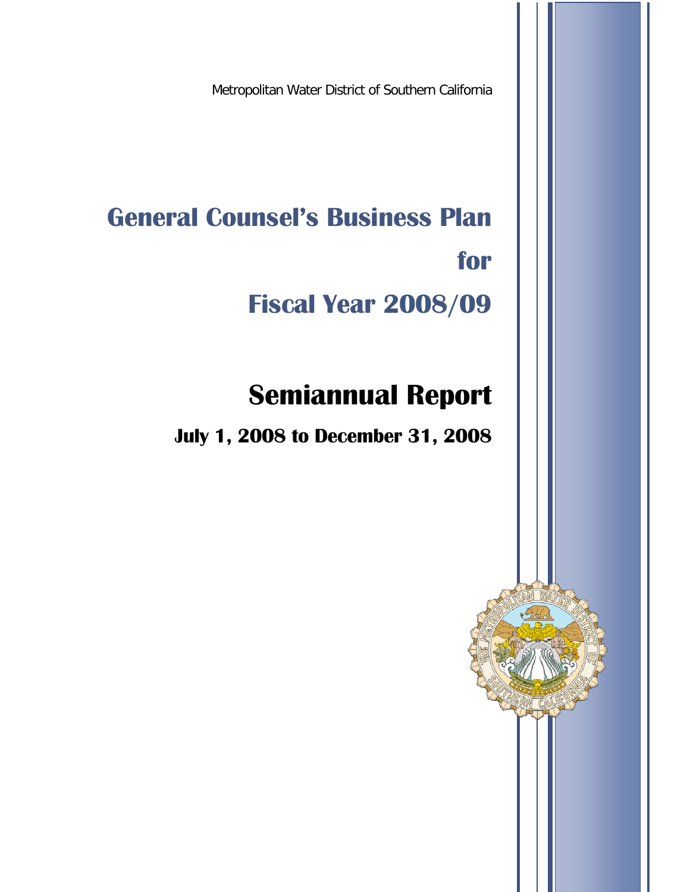Metropolitan Water District of Southern California

**General Counsel's Business Plan for** 

# **Fiscal Year 2008/09**

## **Semiannual Report**

**July 1, 2008 to December 31, 2008**

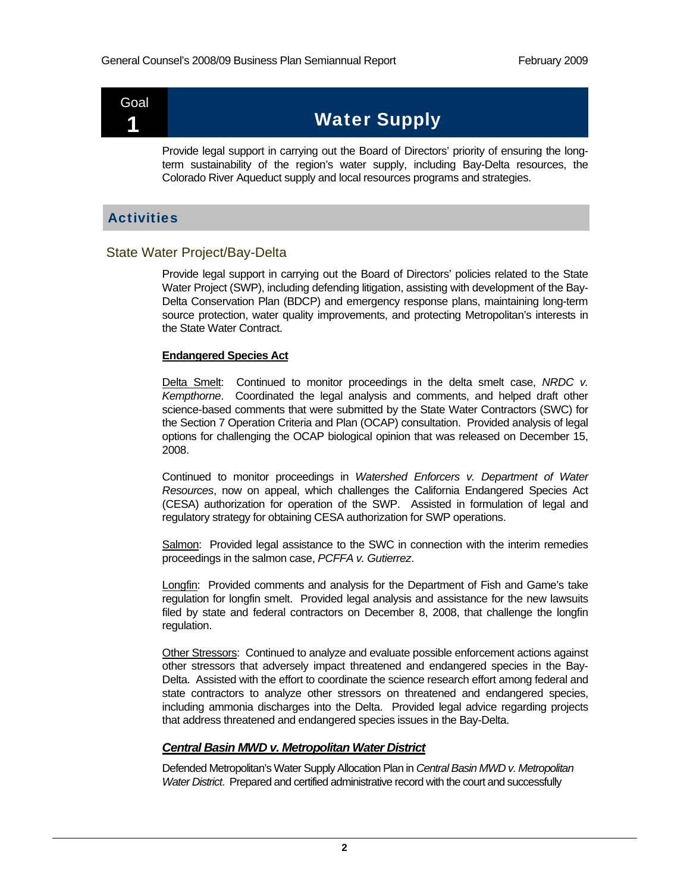## Goal

## 1 Water Supply

Provide legal support in carrying out the Board of Directors' priority of ensuring the longterm sustainability of the region's water supply, including Bay-Delta resources, the Colorado River Aqueduct supply and local resources programs and strategies.

## **Activities**

## State Water Project/Bay-Delta

Provide legal support in carrying out the Board of Directors' policies related to the State Water Project (SWP), including defending litigation, assisting with development of the Bay-Delta Conservation Plan (BDCP) and emergency response plans, maintaining long-term source protection, water quality improvements, and protecting Metropolitan's interests in the State Water Contract.

#### **Endangered Species Act**

Delta Smelt: Continued to monitor proceedings in the delta smelt case, *NRDC v. Kempthorne*. Coordinated the legal analysis and comments, and helped draft other science-based comments that were submitted by the State Water Contractors (SWC) for the Section 7 Operation Criteria and Plan (OCAP) consultation. Provided analysis of legal options for challenging the OCAP biological opinion that was released on December 15, 2008.

Continued to monitor proceedings in *Watershed Enforcers v. Department of Water Resources*, now on appeal, which challenges the California Endangered Species Act (CESA) authorization for operation of the SWP. Assisted in formulation of legal and regulatory strategy for obtaining CESA authorization for SWP operations.

Salmon: Provided legal assistance to the SWC in connection with the interim remedies proceedings in the salmon case, *PCFFA v. Gutierrez*.

Longfin: Provided comments and analysis for the Department of Fish and Game's take regulation for longfin smelt. Provided legal analysis and assistance for the new lawsuits filed by state and federal contractors on December 8, 2008, that challenge the longfin regulation.

Other Stressors: Continued to analyze and evaluate possible enforcement actions against other stressors that adversely impact threatened and endangered species in the Bay-Delta. Assisted with the effort to coordinate the science research effort among federal and state contractors to analyze other stressors on threatened and endangered species, including ammonia discharges into the Delta. Provided legal advice regarding projects that address threatened and endangered species issues in the Bay-Delta.

## *Central Basin MWD v. Metropolitan Water District*

Defended Metropolitan's Water Supply Allocation Plan in *Central Basin MWD v. Metropolitan Water District*. Prepared and certified administrative record with the court and successfully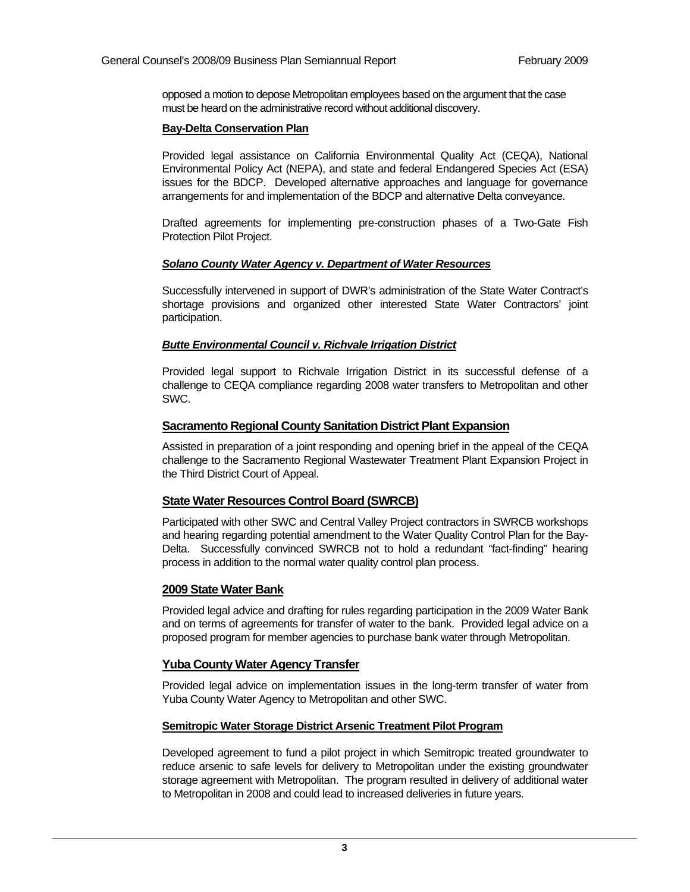opposed a motion to depose Metropolitan employees based on the argument that the case must be heard on the administrative record without additional discovery.

#### **Bay-Delta Conservation Plan**

Provided legal assistance on California Environmental Quality Act (CEQA), National Environmental Policy Act (NEPA), and state and federal Endangered Species Act (ESA) issues for the BDCP. Developed alternative approaches and language for governance arrangements for and implementation of the BDCP and alternative Delta conveyance.

Drafted agreements for implementing pre-construction phases of a Two-Gate Fish Protection Pilot Project.

## *Solano County Water Agency v. Department of Water Resources*

Successfully intervened in support of DWR's administration of the State Water Contract's shortage provisions and organized other interested State Water Contractors' joint participation.

## *Butte Environmental Council v. Richvale Irrigation District*

Provided legal support to Richvale Irrigation District in its successful defense of a challenge to CEQA compliance regarding 2008 water transfers to Metropolitan and other SWC.

## **Sacramento Regional County Sanitation District Plant Expansion**

Assisted in preparation of a joint responding and opening brief in the appeal of the CEQA challenge to the Sacramento Regional Wastewater Treatment Plant Expansion Project in the Third District Court of Appeal.

## **State Water Resources Control Board (SWRCB)**

Participated with other SWC and Central Valley Project contractors in SWRCB workshops and hearing regarding potential amendment to the Water Quality Control Plan for the Bay-Delta. Successfully convinced SWRCB not to hold a redundant "fact-finding" hearing process in addition to the normal water quality control plan process.

## **2009 State Water Bank**

Provided legal advice and drafting for rules regarding participation in the 2009 Water Bank and on terms of agreements for transfer of water to the bank. Provided legal advice on a proposed program for member agencies to purchase bank water through Metropolitan.

## **Yuba County Water Agency Transfer**

Provided legal advice on implementation issues in the long-term transfer of water from Yuba County Water Agency to Metropolitan and other SWC.

## **Semitropic Water Storage District Arsenic Treatment Pilot Program**

Developed agreement to fund a pilot project in which Semitropic treated groundwater to reduce arsenic to safe levels for delivery to Metropolitan under the existing groundwater storage agreement with Metropolitan. The program resulted in delivery of additional water to Metropolitan in 2008 and could lead to increased deliveries in future years.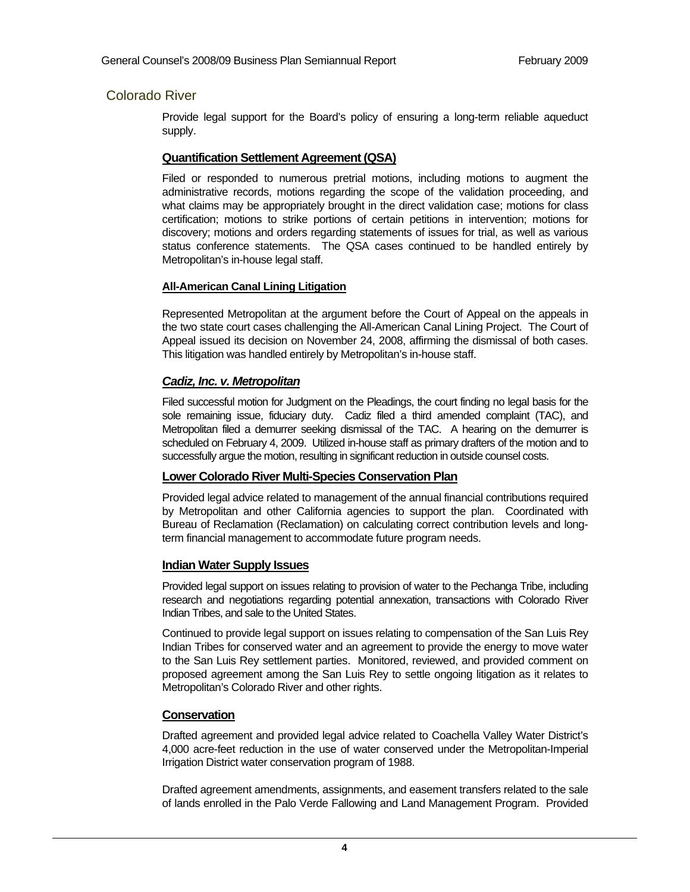## Colorado River

Provide legal support for the Board's policy of ensuring a long-term reliable aqueduct supply.

## **Quantification Settlement Agreement (QSA)**

Filed or responded to numerous pretrial motions, including motions to augment the administrative records, motions regarding the scope of the validation proceeding, and what claims may be appropriately brought in the direct validation case; motions for class certification; motions to strike portions of certain petitions in intervention; motions for discovery; motions and orders regarding statements of issues for trial, as well as various status conference statements. The QSA cases continued to be handled entirely by Metropolitan's in-house legal staff.

## **All-American Canal Lining Litigation**

Represented Metropolitan at the argument before the Court of Appeal on the appeals in the two state court cases challenging the All-American Canal Lining Project. The Court of Appeal issued its decision on November 24, 2008, affirming the dismissal of both cases. This litigation was handled entirely by Metropolitan's in-house staff.

## *Cadiz, Inc. v. Metropolitan*

Filed successful motion for Judgment on the Pleadings, the court finding no legal basis for the sole remaining issue, fiduciary duty. Cadiz filed a third amended complaint (TAC), and Metropolitan filed a demurrer seeking dismissal of the TAC. A hearing on the demurrer is scheduled on February 4, 2009. Utilized in-house staff as primary drafters of the motion and to successfully argue the motion, resulting in significant reduction in outside counsel costs.

## **Lower Colorado River Multi-Species Conservation Plan**

Provided legal advice related to management of the annual financial contributions required by Metropolitan and other California agencies to support the plan. Coordinated with Bureau of Reclamation (Reclamation) on calculating correct contribution levels and longterm financial management to accommodate future program needs.

## **Indian Water Supply Issues**

Provided legal support on issues relating to provision of water to the Pechanga Tribe, including research and negotiations regarding potential annexation, transactions with Colorado River Indian Tribes, and sale to the United States.

Continued to provide legal support on issues relating to compensation of the San Luis Rey Indian Tribes for conserved water and an agreement to provide the energy to move water to the San Luis Rey settlement parties. Monitored, reviewed, and provided comment on proposed agreement among the San Luis Rey to settle ongoing litigation as it relates to Metropolitan's Colorado River and other rights.

## **Conservation**

Drafted agreement and provided legal advice related to Coachella Valley Water District's 4,000 acre-feet reduction in the use of water conserved under the Metropolitan-Imperial Irrigation District water conservation program of 1988.

Drafted agreement amendments, assignments, and easement transfers related to the sale of lands enrolled in the Palo Verde Fallowing and Land Management Program. Provided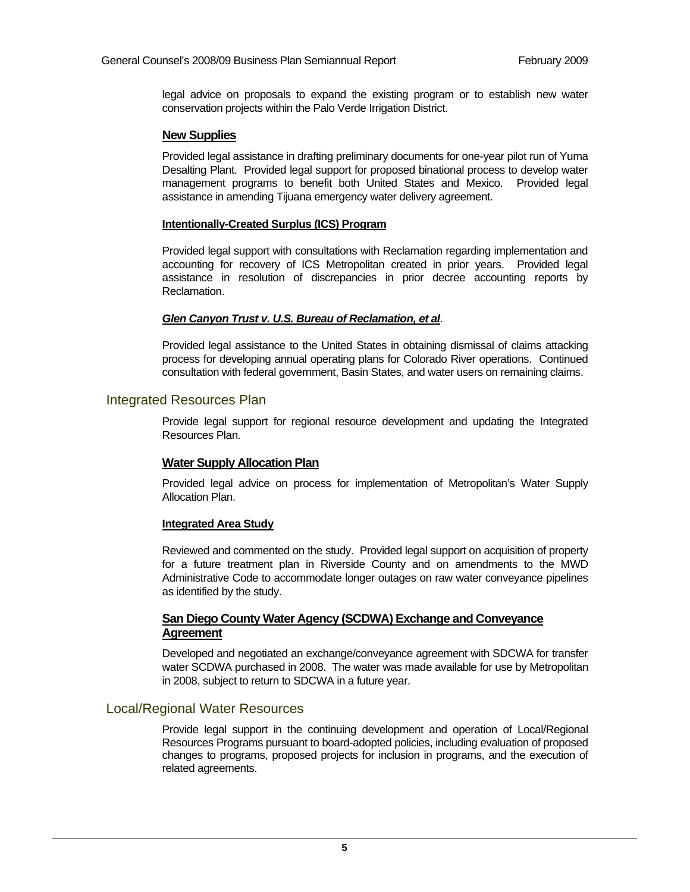legal advice on proposals to expand the existing program or to establish new water conservation projects within the Palo Verde Irrigation District.

#### **New Supplies**

Provided legal assistance in drafting preliminary documents for one-year pilot run of Yuma Desalting Plant. Provided legal support for proposed binational process to develop water management programs to benefit both United States and Mexico. Provided legal assistance in amending Tijuana emergency water delivery agreement.

#### **Intentionally-Created Surplus (ICS) Program**

Provided legal support with consultations with Reclamation regarding implementation and accounting for recovery of ICS Metropolitan created in prior years. Provided legal assistance in resolution of discrepancies in prior decree accounting reports by Reclamation.

## *Glen Canyon Trust v. U.S. Bureau of Reclamation, et al*.

Provided legal assistance to the United States in obtaining dismissal of claims attacking process for developing annual operating plans for Colorado River operations. Continued consultation with federal government, Basin States, and water users on remaining claims.

## Integrated Resources Plan

Provide legal support for regional resource development and updating the Integrated Resources Plan.

## **Water Supply Allocation Plan**

Provided legal advice on process for implementation of Metropolitan's Water Supply Allocation Plan.

#### **Integrated Area Study**

Reviewed and commented on the study. Provided legal support on acquisition of property for a future treatment plan in Riverside County and on amendments to the MWD Administrative Code to accommodate longer outages on raw water conveyance pipelines as identified by the study.

## **San Diego County Water Agency (SCDWA) Exchange and Conveyance Agreement**

Developed and negotiated an exchange/conveyance agreement with SDCWA for transfer water SCDWA purchased in 2008. The water was made available for use by Metropolitan in 2008, subject to return to SDCWA in a future year.

## Local/Regional Water Resources

Provide legal support in the continuing development and operation of Local/Regional Resources Programs pursuant to board-adopted policies, including evaluation of proposed changes to programs, proposed projects for inclusion in programs, and the execution of related agreements.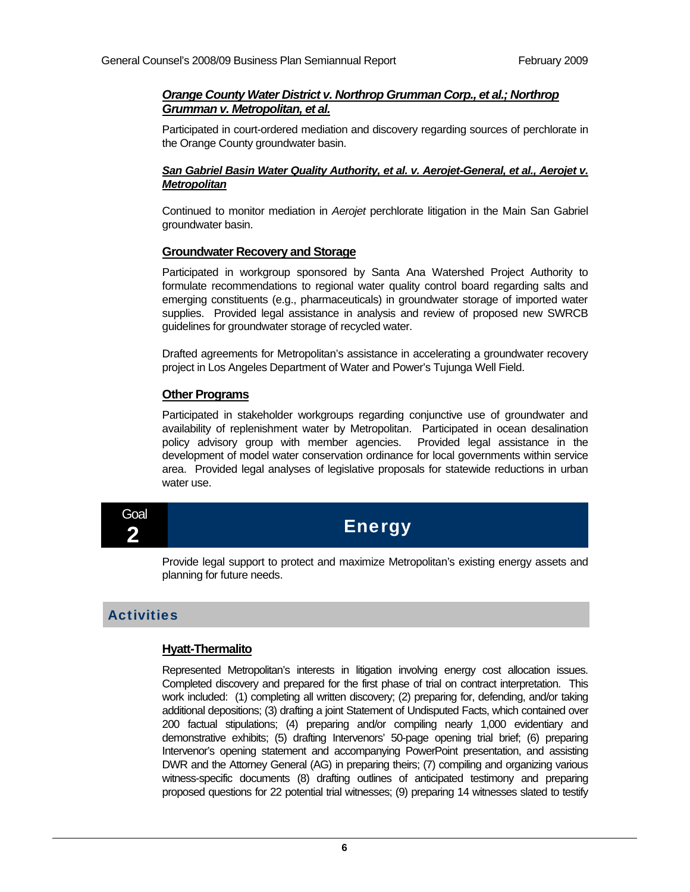## *Orange County Water District v. Northrop Grumman Corp., et al.; Northrop Grumman v. Metropolitan, et al.*

Participated in court-ordered mediation and discovery regarding sources of perchlorate in the Orange County groundwater basin.

## *San Gabriel Basin Water Quality Authority, et al. v. Aerojet-General, et al., Aerojet v. Metropolitan*

Continued to monitor mediation in *Aerojet* perchlorate litigation in the Main San Gabriel groundwater basin.

## **Groundwater Recovery and Storage**

Participated in workgroup sponsored by Santa Ana Watershed Project Authority to formulate recommendations to regional water quality control board regarding salts and emerging constituents (e.g., pharmaceuticals) in groundwater storage of imported water supplies. Provided legal assistance in analysis and review of proposed new SWRCB guidelines for groundwater storage of recycled water.

Drafted agreements for Metropolitan's assistance in accelerating a groundwater recovery project in Los Angeles Department of Water and Power's Tujunga Well Field.

## **Other Programs**

Participated in stakeholder workgroups regarding conjunctive use of groundwater and availability of replenishment water by Metropolitan. Participated in ocean desalination policy advisory group with member agencies. Provided legal assistance in the development of model water conservation ordinance for local governments within service area. Provided legal analyses of legislative proposals for statewide reductions in urban water use.

Goal

## **Energy**

Provide legal support to protect and maximize Metropolitan's existing energy assets and planning for future needs.

## **Activities**

## **Hyatt-Thermalito**

Represented Metropolitan's interests in litigation involving energy cost allocation issues. Completed discovery and prepared for the first phase of trial on contract interpretation. This work included: (1) completing all written discovery; (2) preparing for, defending, and/or taking additional depositions; (3) drafting a joint Statement of Undisputed Facts, which contained over 200 factual stipulations; (4) preparing and/or compiling nearly 1,000 evidentiary and demonstrative exhibits; (5) drafting Intervenors' 50-page opening trial brief; (6) preparing Intervenor's opening statement and accompanying PowerPoint presentation, and assisting DWR and the Attorney General (AG) in preparing theirs; (7) compiling and organizing various witness-specific documents (8) drafting outlines of anticipated testimony and preparing proposed questions for 22 potential trial witnesses; (9) preparing 14 witnesses slated to testify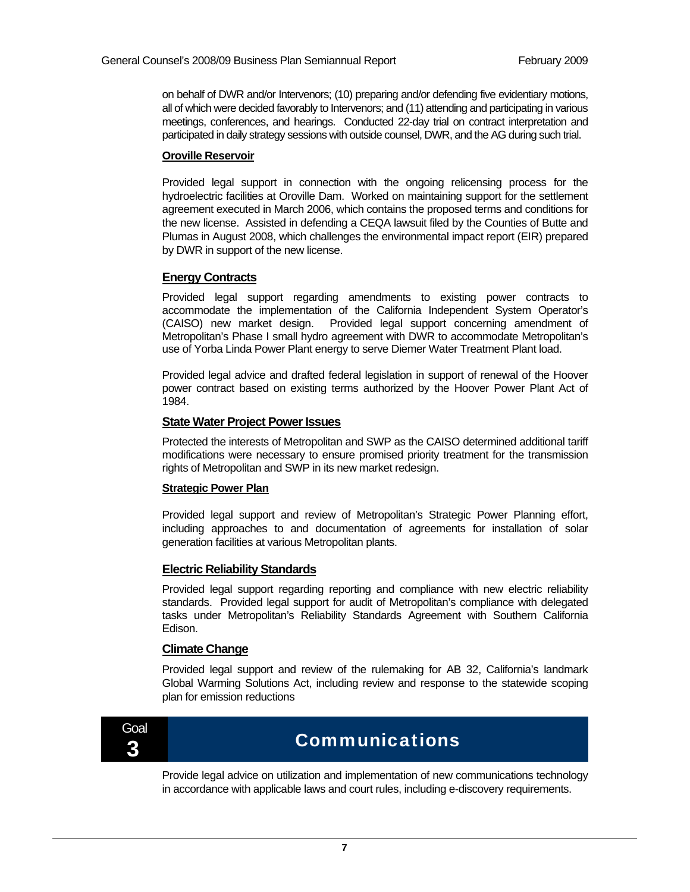on behalf of DWR and/or Intervenors; (10) preparing and/or defending five evidentiary motions, all of which were decided favorably to Intervenors; and (11) attending and participating in various meetings, conferences, and hearings. Conducted 22-day trial on contract interpretation and participated in daily strategy sessions with outside counsel, DWR, and the AG during such trial.

#### **Oroville Reservoir**

Provided legal support in connection with the ongoing relicensing process for the hydroelectric facilities at Oroville Dam. Worked on maintaining support for the settlement agreement executed in March 2006, which contains the proposed terms and conditions for the new license. Assisted in defending a CEQA lawsuit filed by the Counties of Butte and Plumas in August 2008, which challenges the environmental impact report (EIR) prepared by DWR in support of the new license.

## **Energy Contracts**

Provided legal support regarding amendments to existing power contracts to accommodate the implementation of the California Independent System Operator's (CAISO) new market design. Provided legal support concerning amendment of Metropolitan's Phase I small hydro agreement with DWR to accommodate Metropolitan's use of Yorba Linda Power Plant energy to serve Diemer Water Treatment Plant load.

Provided legal advice and drafted federal legislation in support of renewal of the Hoover power contract based on existing terms authorized by the Hoover Power Plant Act of 1984.

#### **State Water Project Power Issues**

Protected the interests of Metropolitan and SWP as the CAISO determined additional tariff modifications were necessary to ensure promised priority treatment for the transmission rights of Metropolitan and SWP in its new market redesign.

#### **Strategic Power Plan**

Provided legal support and review of Metropolitan's Strategic Power Planning effort, including approaches to and documentation of agreements for installation of solar generation facilities at various Metropolitan plants.

#### **Electric Reliability Standards**

Provided legal support regarding reporting and compliance with new electric reliability standards. Provided legal support for audit of Metropolitan's compliance with delegated tasks under Metropolitan's Reliability Standards Agreement with Southern California Edison.

#### **Climate Change**

Provided legal support and review of the rulemaking for AB 32, California's landmark Global Warming Solutions Act, including review and response to the statewide scoping plan for emission reductions



## $\overline{\mathbf{3}}$  . Communications

Provide legal advice on utilization and implementation of new communications technology in accordance with applicable laws and court rules, including e-discovery requirements.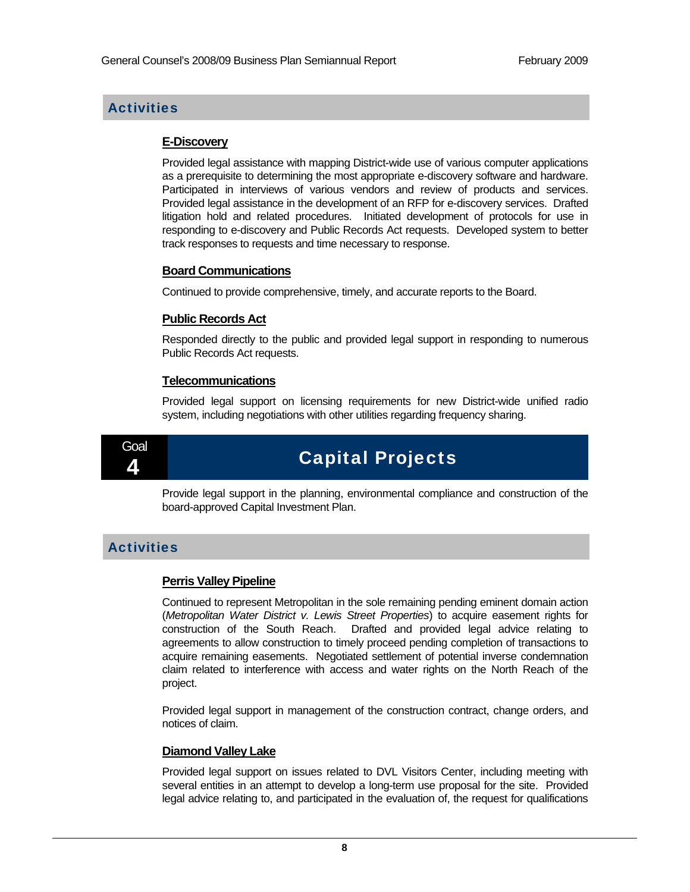## **Activities**

## **E-Discovery**

Provided legal assistance with mapping District-wide use of various computer applications as a prerequisite to determining the most appropriate e-discovery software and hardware. Participated in interviews of various vendors and review of products and services. Provided legal assistance in the development of an RFP for e-discovery services. Drafted litigation hold and related procedures. Initiated development of protocols for use in responding to e-discovery and Public Records Act requests. Developed system to better track responses to requests and time necessary to response.

## **Board Communications**

Continued to provide comprehensive, timely, and accurate reports to the Board.

## **Public Records Act**

Responded directly to the public and provided legal support in responding to numerous Public Records Act requests.

## **Telecommunications**

Provided legal support on licensing requirements for new District-wide unified radio system, including negotiations with other utilities regarding frequency sharing.



## **Capital Projects**

Provide legal support in the planning, environmental compliance and construction of the board-approved Capital Investment Plan.

## **Activities**

## **Perris Valley Pipeline**

Continued to represent Metropolitan in the sole remaining pending eminent domain action (*Metropolitan Water District v. Lewis Street Properties*) to acquire easement rights for construction of the South Reach. Drafted and provided legal advice relating to agreements to allow construction to timely proceed pending completion of transactions to acquire remaining easements. Negotiated settlement of potential inverse condemnation claim related to interference with access and water rights on the North Reach of the project.

Provided legal support in management of the construction contract, change orders, and notices of claim.

## **Diamond Valley Lake**

Provided legal support on issues related to DVL Visitors Center, including meeting with several entities in an attempt to develop a long-term use proposal for the site. Provided legal advice relating to, and participated in the evaluation of, the request for qualifications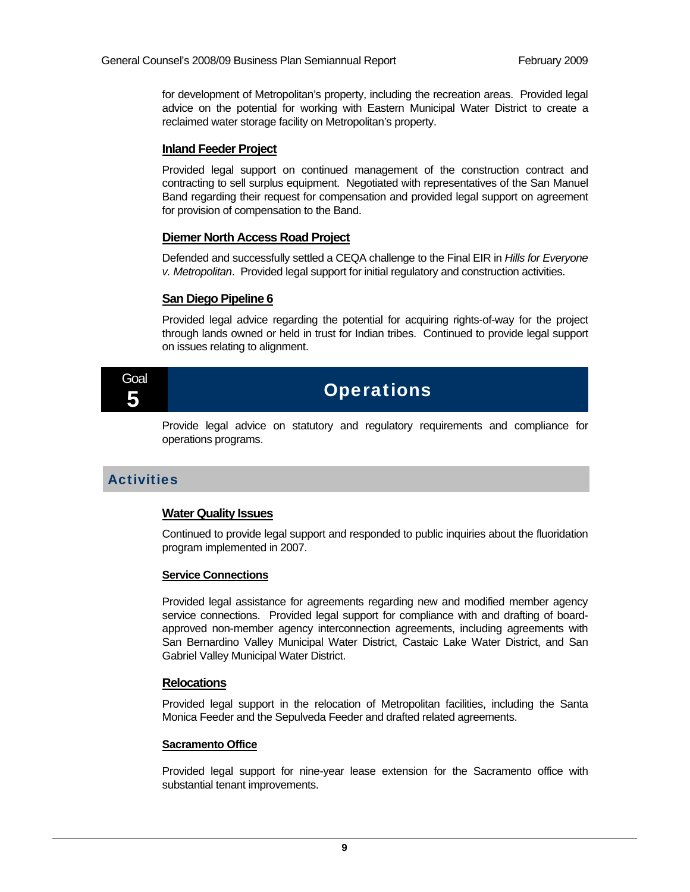for development of Metropolitan's property, including the recreation areas. Provided legal advice on the potential for working with Eastern Municipal Water District to create a reclaimed water storage facility on Metropolitan's property.

## **Inland Feeder Project**

Provided legal support on continued management of the construction contract and contracting to sell surplus equipment. Negotiated with representatives of the San Manuel Band regarding their request for compensation and provided legal support on agreement for provision of compensation to the Band.

## **Diemer North Access Road Project**

Defended and successfully settled a CEQA challenge to the Final EIR in *Hills for Everyone v. Metropolitan*. Provided legal support for initial regulatory and construction activities.

## **San Diego Pipeline 6**

Provided legal advice regarding the potential for acquiring rights-of-way for the project through lands owned or held in trust for Indian tribes. Continued to provide legal support on issues relating to alignment.

## Goal

 $\overline{5}$  Operations

Provide legal advice on statutory and regulatory requirements and compliance for operations programs.

## **Activities**

## **Water Quality Issues**

Continued to provide legal support and responded to public inquiries about the fluoridation program implemented in 2007.

## **Service Connections**

Provided legal assistance for agreements regarding new and modified member agency service connections. Provided legal support for compliance with and drafting of boardapproved non-member agency interconnection agreements, including agreements with San Bernardino Valley Municipal Water District, Castaic Lake Water District, and San Gabriel Valley Municipal Water District.

## **Relocations**

Provided legal support in the relocation of Metropolitan facilities, including the Santa Monica Feeder and the Sepulveda Feeder and drafted related agreements.

#### **Sacramento Office**

Provided legal support for nine-year lease extension for the Sacramento office with substantial tenant improvements.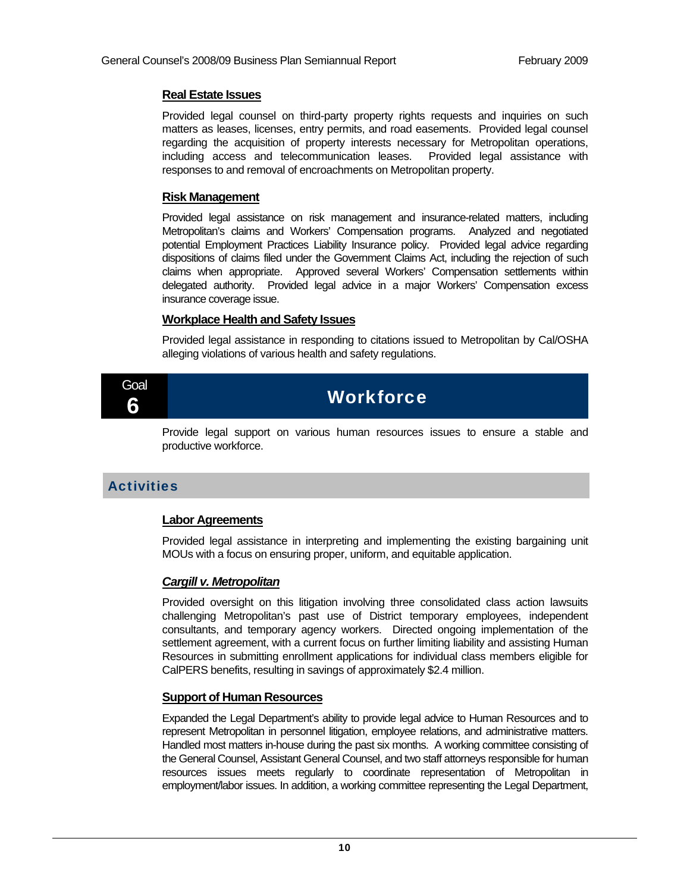#### **Real Estate Issues**

Provided legal counsel on third-party property rights requests and inquiries on such matters as leases, licenses, entry permits, and road easements. Provided legal counsel regarding the acquisition of property interests necessary for Metropolitan operations, including access and telecommunication leases. Provided legal assistance with responses to and removal of encroachments on Metropolitan property.

## **Risk Management**

Provided legal assistance on risk management and insurance-related matters, including Metropolitan's claims and Workers' Compensation programs. Analyzed and negotiated potential Employment Practices Liability Insurance policy. Provided legal advice regarding dispositions of claims filed under the Government Claims Act, including the rejection of such claims when appropriate. Approved several Workers' Compensation settlements within delegated authority. Provided legal advice in a major Workers' Compensation excess insurance coverage issue.

## **Workplace Health and Safety Issues**

Provided legal assistance in responding to citations issued to Metropolitan by Cal/OSHA alleging violations of various health and safety regulations.



## **Workforce**

Provide legal support on various human resources issues to ensure a stable and productive workforce.

## **Activities**

## **Labor Agreements**

Provided legal assistance in interpreting and implementing the existing bargaining unit MOUs with a focus on ensuring proper, uniform, and equitable application.

## *Cargill v. Metropolitan*

Provided oversight on this litigation involving three consolidated class action lawsuits challenging Metropolitan's past use of District temporary employees, independent consultants, and temporary agency workers. Directed ongoing implementation of the settlement agreement, with a current focus on further limiting liability and assisting Human Resources in submitting enrollment applications for individual class members eligible for CalPERS benefits, resulting in savings of approximately \$2.4 million.

## **Support of Human Resources**

Expanded the Legal Department's ability to provide legal advice to Human Resources and to represent Metropolitan in personnel litigation, employee relations, and administrative matters. Handled most matters in-house during the past six months. A working committee consisting of the General Counsel, Assistant General Counsel, and two staff attorneys responsible for human resources issues meets regularly to coordinate representation of Metropolitan in employment/labor issues. In addition, a working committee representing the Legal Department,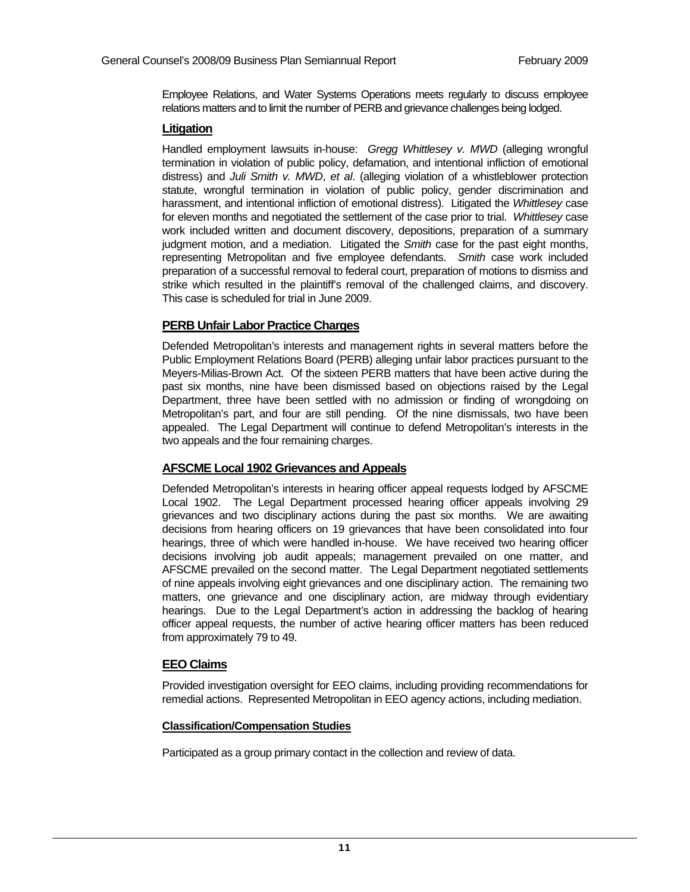Employee Relations, and Water Systems Operations meets regularly to discuss employee relations matters and to limit the number of PERB and grievance challenges being lodged.

## **Litigation**

Handled employment lawsuits in-house: *Gregg Whittlesey v. MWD* (alleging wrongful termination in violation of public policy, defamation, and intentional infliction of emotional distress) and *Juli Smith v. MWD*, *et al*. (alleging violation of a whistleblower protection statute, wrongful termination in violation of public policy, gender discrimination and harassment, and intentional infliction of emotional distress). Litigated the *Whittlesey* case for eleven months and negotiated the settlement of the case prior to trial. *Whittlesey* case work included written and document discovery, depositions, preparation of a summary judgment motion, and a mediation. Litigated the *Smith* case for the past eight months, representing Metropolitan and five employee defendants. *Smith* case work included preparation of a successful removal to federal court, preparation of motions to dismiss and strike which resulted in the plaintiff's removal of the challenged claims, and discovery. This case is scheduled for trial in June 2009.

## **PERB Unfair Labor Practice Charges**

Defended Metropolitan's interests and management rights in several matters before the Public Employment Relations Board (PERB) alleging unfair labor practices pursuant to the Meyers-Milias-Brown Act. Of the sixteen PERB matters that have been active during the past six months, nine have been dismissed based on objections raised by the Legal Department, three have been settled with no admission or finding of wrongdoing on Metropolitan's part, and four are still pending. Of the nine dismissals, two have been appealed. The Legal Department will continue to defend Metropolitan's interests in the two appeals and the four remaining charges.

## **AFSCME Local 1902 Grievances and Appeals**

Defended Metropolitan's interests in hearing officer appeal requests lodged by AFSCME Local 1902. The Legal Department processed hearing officer appeals involving 29 grievances and two disciplinary actions during the past six months. We are awaiting decisions from hearing officers on 19 grievances that have been consolidated into four hearings, three of which were handled in-house. We have received two hearing officer decisions involving job audit appeals; management prevailed on one matter, and AFSCME prevailed on the second matter. The Legal Department negotiated settlements of nine appeals involving eight grievances and one disciplinary action. The remaining two matters, one grievance and one disciplinary action, are midway through evidentiary hearings. Due to the Legal Department's action in addressing the backlog of hearing officer appeal requests, the number of active hearing officer matters has been reduced from approximately 79 to 49.

## **EEO Claims**

Provided investigation oversight for EEO claims, including providing recommendations for remedial actions. Represented Metropolitan in EEO agency actions, including mediation.

## **Classification/Compensation Studies**

Participated as a group primary contact in the collection and review of data.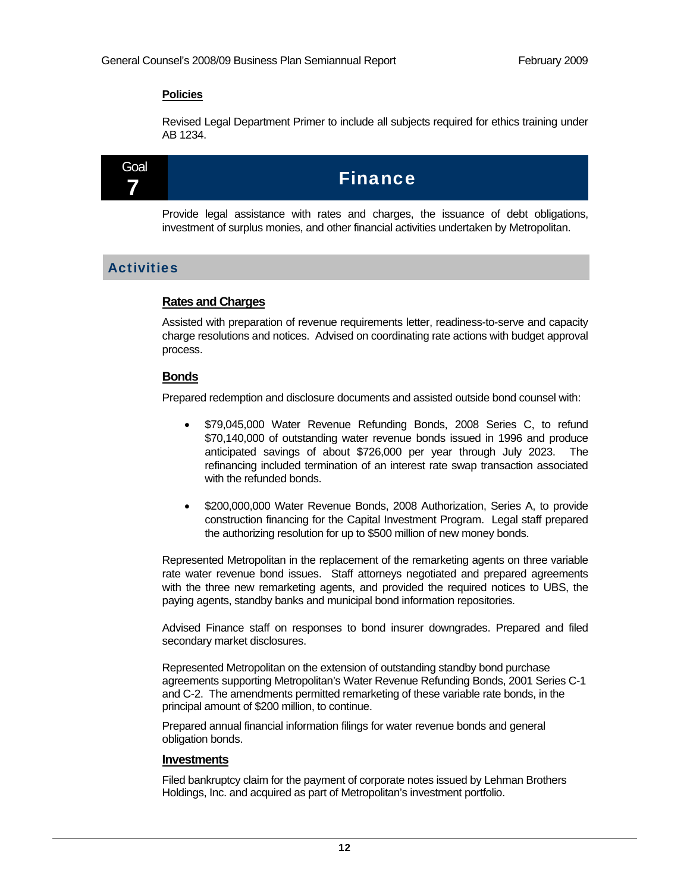## **Policies**

Revised Legal Department Primer to include all subjects required for ethics training under AB 1234.



Provide legal assistance with rates and charges, the issuance of debt obligations, investment of surplus monies, and other financial activities undertaken by Metropolitan.

## **Activities**

## **Rates and Charges**

Assisted with preparation of revenue requirements letter, readiness-to-serve and capacity charge resolutions and notices. Advised on coordinating rate actions with budget approval process.

## **Bonds**

Prepared redemption and disclosure documents and assisted outside bond counsel with:

- \$79,045,000 Water Revenue Refunding Bonds, 2008 Series C, to refund \$70,140,000 of outstanding water revenue bonds issued in 1996 and produce anticipated savings of about \$726,000 per year through July 2023. The refinancing included termination of an interest rate swap transaction associated with the refunded bonds.
- \$200,000,000 Water Revenue Bonds, 2008 Authorization, Series A, to provide construction financing for the Capital Investment Program. Legal staff prepared the authorizing resolution for up to \$500 million of new money bonds.

Represented Metropolitan in the replacement of the remarketing agents on three variable rate water revenue bond issues. Staff attorneys negotiated and prepared agreements with the three new remarketing agents, and provided the required notices to UBS, the paying agents, standby banks and municipal bond information repositories.

Advised Finance staff on responses to bond insurer downgrades. Prepared and filed secondary market disclosures.

Represented Metropolitan on the extension of outstanding standby bond purchase agreements supporting Metropolitan's Water Revenue Refunding Bonds, 2001 Series C-1 and C-2. The amendments permitted remarketing of these variable rate bonds, in the principal amount of \$200 million, to continue.

Prepared annual financial information filings for water revenue bonds and general obligation bonds.

## **Investments**

Filed bankruptcy claim for the payment of corporate notes issued by Lehman Brothers Holdings, Inc. and acquired as part of Metropolitan's investment portfolio.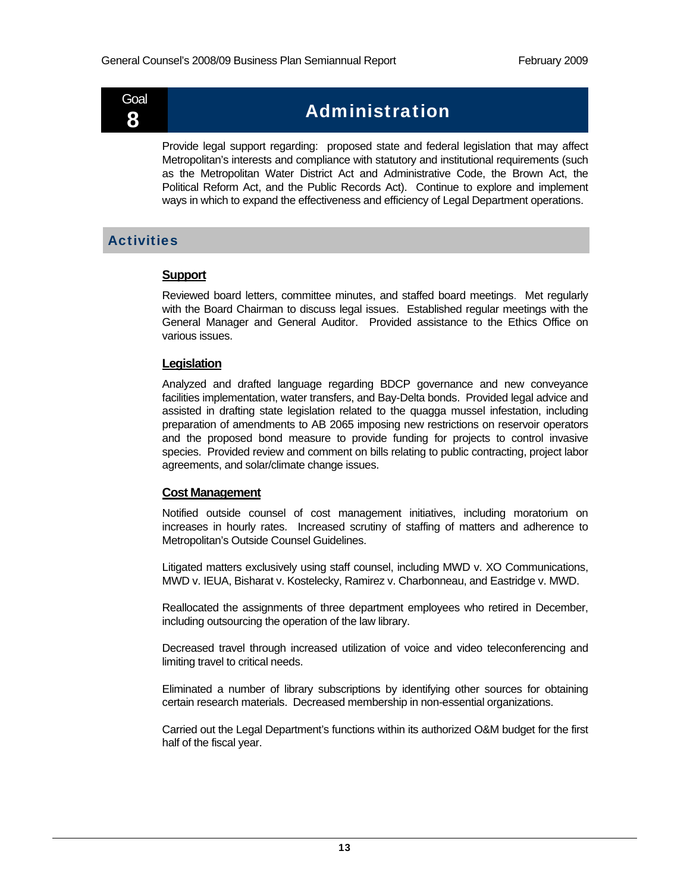

## $\widetilde{\mathbf{g}}$  **Administration**

Provide legal support regarding: proposed state and federal legislation that may affect Metropolitan's interests and compliance with statutory and institutional requirements (such as the Metropolitan Water District Act and Administrative Code, the Brown Act, the Political Reform Act, and the Public Records Act). Continue to explore and implement ways in which to expand the effectiveness and efficiency of Legal Department operations.

## **Activities**

## **Support**

Reviewed board letters, committee minutes, and staffed board meetings. Met regularly with the Board Chairman to discuss legal issues. Established regular meetings with the General Manager and General Auditor. Provided assistance to the Ethics Office on various issues.

## **Legislation**

Analyzed and drafted language regarding BDCP governance and new conveyance facilities implementation, water transfers, and Bay-Delta bonds. Provided legal advice and assisted in drafting state legislation related to the quagga mussel infestation, including preparation of amendments to AB 2065 imposing new restrictions on reservoir operators and the proposed bond measure to provide funding for projects to control invasive species. Provided review and comment on bills relating to public contracting, project labor agreements, and solar/climate change issues.

## **Cost Management**

Notified outside counsel of cost management initiatives, including moratorium on increases in hourly rates. Increased scrutiny of staffing of matters and adherence to Metropolitan's Outside Counsel Guidelines.

Litigated matters exclusively using staff counsel, including MWD v. XO Communications, MWD v. IEUA, Bisharat v. Kostelecky, Ramirez v. Charbonneau, and Eastridge v. MWD.

Reallocated the assignments of three department employees who retired in December, including outsourcing the operation of the law library.

Decreased travel through increased utilization of voice and video teleconferencing and limiting travel to critical needs.

Eliminated a number of library subscriptions by identifying other sources for obtaining certain research materials. Decreased membership in non-essential organizations.

Carried out the Legal Department's functions within its authorized O&M budget for the first half of the fiscal year.